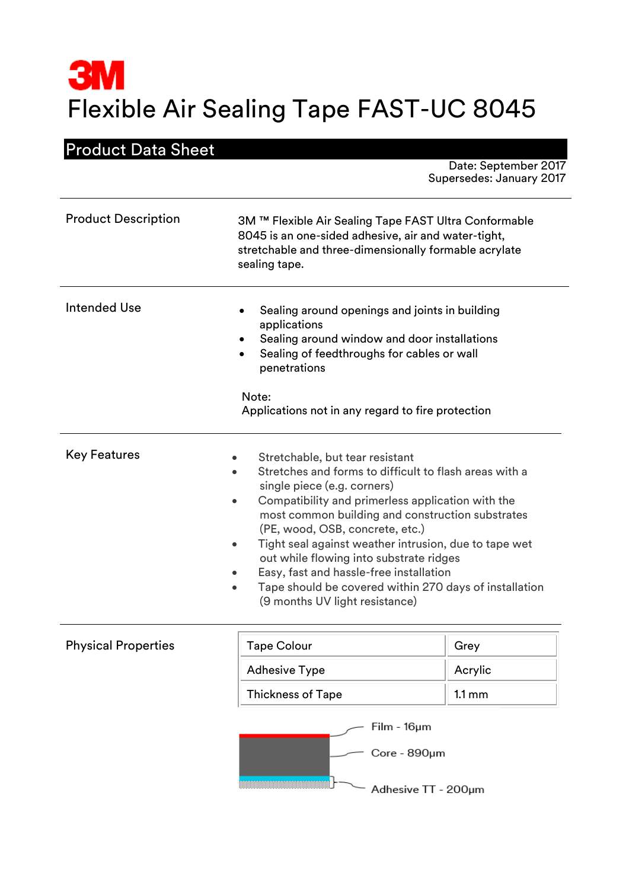# **3M** Flexible Air Sealing Tape FAST-UC 8045

# Product Data Sheet

Date: September 2017 Supersedes: January 2017

| <b>Product Description</b> | 3M ™ Flexible Air Sealing Tape FAST Ultra Conformable<br>8045 is an one-sided adhesive, air and water-tight,<br>stretchable and three-dimensionally formable acrylate<br>sealing tape.                                                                                                                                                                                                                                                                                                                                                                 |
|----------------------------|--------------------------------------------------------------------------------------------------------------------------------------------------------------------------------------------------------------------------------------------------------------------------------------------------------------------------------------------------------------------------------------------------------------------------------------------------------------------------------------------------------------------------------------------------------|
| Intended Use               | Sealing around openings and joints in building<br>$\bullet$<br>applications<br>Sealing around window and door installations<br>$\bullet$<br>Sealing of feedthroughs for cables or wall<br>$\bullet$<br>penetrations<br>Note:<br>Applications not in any regard to fire protection                                                                                                                                                                                                                                                                      |
| <b>Key Features</b>        | Stretchable, but tear resistant<br>Stretches and forms to difficult to flash areas with a<br>single piece (e.g. corners)<br>Compatibility and primerless application with the<br>$\bullet$<br>most common building and construction substrates<br>(PE, wood, OSB, concrete, etc.)<br>Tight seal against weather intrusion, due to tape wet<br>$\bullet$<br>out while flowing into substrate ridges<br>Easy, fast and hassle-free installation<br>Tape should be covered within 270 days of installation<br>$\bullet$<br>(9 months UV light resistance) |

# **Physical Properties**

| <b>Tape Colour</b>       | Grey             |
|--------------------------|------------------|
| <b>Adhesive Type</b>     | Acrylic          |
| <b>Thickness of Tape</b> | $1.1 \text{ mm}$ |

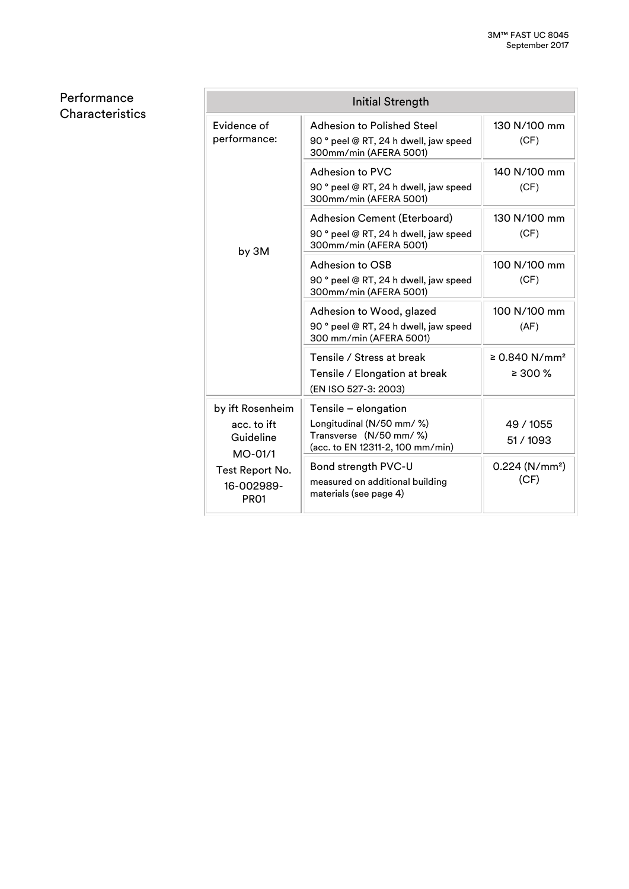Performance **Characteristics** 

| Initial Strength                                          |                                                                                                                  |                                           |
|-----------------------------------------------------------|------------------------------------------------------------------------------------------------------------------|-------------------------------------------|
| Evidence of<br>performance:                               | Adhesion to Polished Steel<br>90 ° peel @ RT, 24 h dwell, jaw speed<br>300mm/min (AFERA 5001)                    | 130 N/100 mm<br>(CF)                      |
| by 3M                                                     | Adhesion to PVC<br>90 ° peel @ RT, 24 h dwell, jaw speed<br>300mm/min (AFERA 5001)                               | 140 N/100 mm<br>(CF)                      |
|                                                           | <b>Adhesion Cement (Eterboard)</b><br>90 ° peel @ RT, 24 h dwell, jaw speed<br>300mm/min (AFERA 5001)            | 130 N/100 mm<br>(CF)                      |
|                                                           | Adhesion to OSB<br>90 ° peel @ RT, 24 h dwell, jaw speed<br>300mm/min (AFERA 5001)                               | 100 N/100 mm<br>(CF)                      |
|                                                           | Adhesion to Wood, glazed<br>90 ° peel @ RT, 24 h dwell, jaw speed<br>300 mm/min (AFERA 5001)                     | 100 N/100 mm<br>(AF)                      |
|                                                           | Tensile / Stress at break<br>Tensile / Elongation at break<br>(EN ISO 527-3: 2003)                               | ≥ 0.840 N/mm <sup>2</sup><br>$\geq 300\%$ |
| by ift Rosenheim<br>acc. to ift<br>Guideline<br>$MO-01/1$ | Tensile - elongation<br>Longitudinal (N/50 mm/ %)<br>Transverse (N/50 mm/ %)<br>(acc. to EN 12311-2, 100 mm/min) | 49 / 1055<br>51/1093                      |
| Test Report No.<br>16-002989-<br>PR <sub>01</sub>         | Bond strength PVC-U<br>measured on additional building<br>materials (see page 4)                                 | 0.224 (N/mm <sup>2</sup> )<br>(CF)        |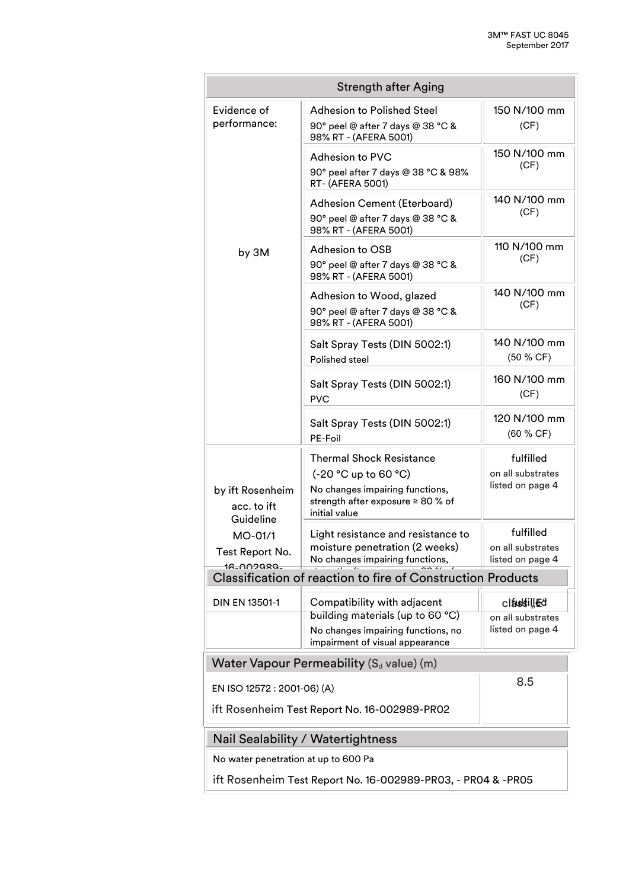|                                                                                    | <b>Strength after Aging</b>                                                                                                                         |                                                      |
|------------------------------------------------------------------------------------|-----------------------------------------------------------------------------------------------------------------------------------------------------|------------------------------------------------------|
| Evidence of<br>performance:                                                        | <b>Adhesion to Polished Steel</b><br>90° peel @ after 7 days @ 38 °C &<br>98% RT - (AFERA 5001)                                                     | 150 N/100 mm<br>(CF)                                 |
|                                                                                    | Adhesion to PVC<br>90° peel after 7 days @ 38 °C & 98%<br>RT- (AFERA 5001)                                                                          | 150 N/100 mm<br>(CF)                                 |
|                                                                                    | Adhesion Cement (Eterboard)<br>90° peel @ after 7 days @ 38 °C &<br>98% RT - (AFERA 5001)                                                           | 140 N/100 mm<br>(CF)                                 |
| by 3M                                                                              | Adhesion to OSB<br>90° peel @ after 7 days @ 38 °C &<br>98% RT - (AFERA 5001)                                                                       | 110 N/100 mm<br>(CF)                                 |
|                                                                                    | Adhesion to Wood, glazed<br>90° peel @ after 7 days @ 38 °C &<br>98% RT - (AFERA 5001)                                                              | 140 N/100 mm<br>(CF)                                 |
|                                                                                    | Salt Spray Tests (DIN 5002:1)<br>Polished steel                                                                                                     | 140 N/100 mm<br>(50 % CF)                            |
|                                                                                    | Salt Spray Tests (DIN 5002:1)<br><b>PVC</b>                                                                                                         | 160 N/100 mm<br>(CF)                                 |
|                                                                                    | Salt Spray Tests (DIN 5002:1)<br>PE-Foil                                                                                                            | 120 N/100 mm<br>(60 % CF)                            |
| by ift Rosenheim<br>acc. to ift                                                    | <b>Thermal Shock Resistance</b><br>$(-20 °C)$ up to 60 °C)<br>No changes impairing functions,<br>strength after exposure ≥ 80 % of<br>initial value | fulfilled<br>on all substrates<br>listed on page 4   |
| Guideline<br>$MO-01/1$<br>Test Report No.<br>18-009999-                            | Light resistance and resistance to<br>moisture penetration (2 weeks)<br>No changes impairing functions,                                             | fulfilled<br>on all substrates<br>listed on page 4   |
| <b>Classification of reaction to fire of Construction Products</b>                 |                                                                                                                                                     |                                                      |
| DIN EN 13501-1                                                                     | Compatibility with adjacent<br>building materials (up to 60 °C)<br>No changes impairing functions, no<br>impairment of visual appearance            | claustilled<br>on all substrates<br>listed on page 4 |
|                                                                                    | Water Vapour Permeability $(S_d \text{ value})$ (m)                                                                                                 |                                                      |
| 8.5<br>EN ISO 12572 : 2001-06) (A)<br>ift Rosenheim Test Report No. 16-002989-PR02 |                                                                                                                                                     |                                                      |
| Nail Sealability / Watertightness                                                  |                                                                                                                                                     |                                                      |
| No water penetration at up to 600 Pa                                               |                                                                                                                                                     |                                                      |
| ift Rosenheim Test Report No. 16-002989-PR03, - PR04 & -PR05                       |                                                                                                                                                     |                                                      |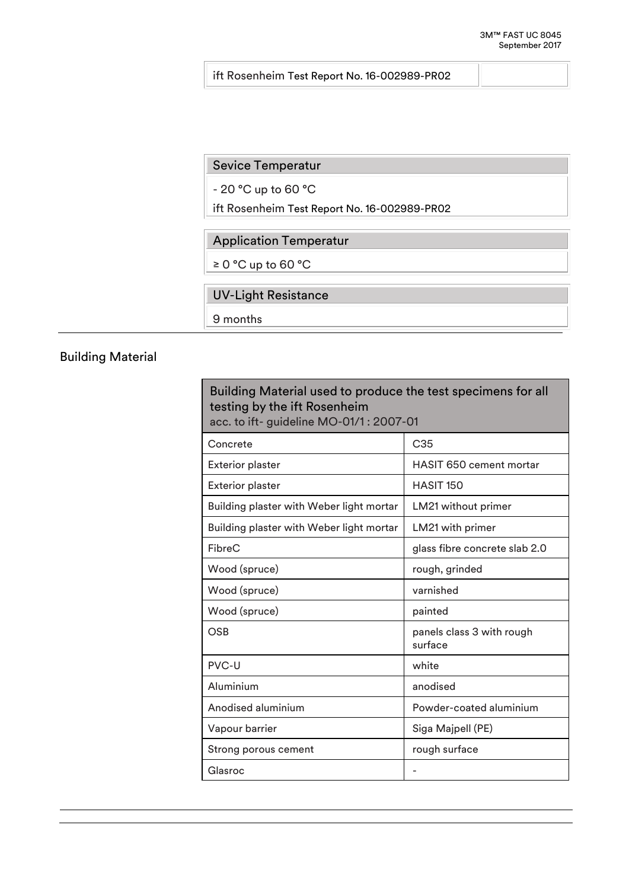#### ift Rosenheim Test Report No. 16-002989-PR02

#### Sevice Temperatur

- 20 °C up to 60 °C

ift Rosenheim Test Report No. 16-002989-PR02

## Application Temperatur

≥ 0 °C up to 60 °C

## UV-Light Resistance

9 months

# Building Material

| Building Material used to produce the test specimens for all<br>testing by the ift Rosenheim<br>acc. to ift- guideline MO-01/1: 2007-01 |                                      |  |
|-----------------------------------------------------------------------------------------------------------------------------------------|--------------------------------------|--|
| Concrete                                                                                                                                | C35                                  |  |
| <b>Exterior plaster</b>                                                                                                                 | <b>HASIT 650 cement mortar</b>       |  |
| <b>Exterior plaster</b>                                                                                                                 | HASIT <sub>150</sub>                 |  |
| Building plaster with Weber light mortar                                                                                                | LM21 without primer                  |  |
| Building plaster with Weber light mortar                                                                                                | LM21 with primer                     |  |
| FibreC                                                                                                                                  | glass fibre concrete slab 2.0        |  |
| Wood (spruce)                                                                                                                           | rough, grinded                       |  |
| Wood (spruce)                                                                                                                           | varnished                            |  |
| Wood (spruce)                                                                                                                           | painted                              |  |
| <b>OSB</b>                                                                                                                              | panels class 3 with rough<br>surface |  |
| PVC-U                                                                                                                                   | white                                |  |
| Aluminium                                                                                                                               | anodised                             |  |
| Anodised aluminium                                                                                                                      | Powder-coated aluminium              |  |
| Vapour barrier                                                                                                                          | Siga Majpell (PE)                    |  |
| Strong porous cement                                                                                                                    | rough surface                        |  |
| Glasroc                                                                                                                                 |                                      |  |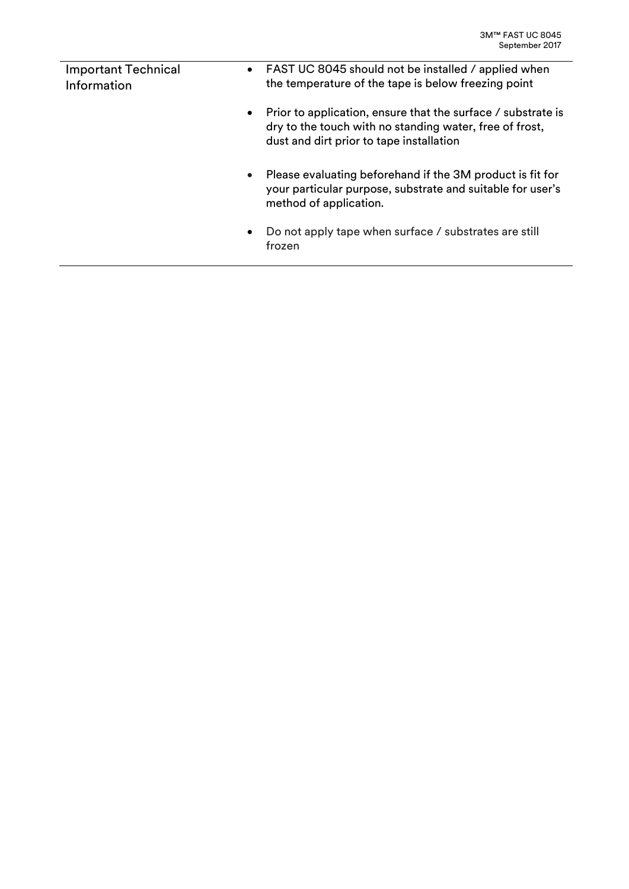| <b>Important Technical</b><br>Information | • FAST UC 8045 should not be installed / applied when<br>the temperature of the tape is below freezing point                                                        |
|-------------------------------------------|---------------------------------------------------------------------------------------------------------------------------------------------------------------------|
| $\bullet$                                 | Prior to application, ensure that the surface / substrate is<br>dry to the touch with no standing water, free of frost,<br>dust and dirt prior to tape installation |
| $\bullet$                                 | Please evaluating beforehand if the 3M product is fit for<br>your particular purpose, substrate and suitable for user's<br>method of application.                   |
| ٠                                         | Do not apply tape when surface / substrates are still<br>frozen                                                                                                     |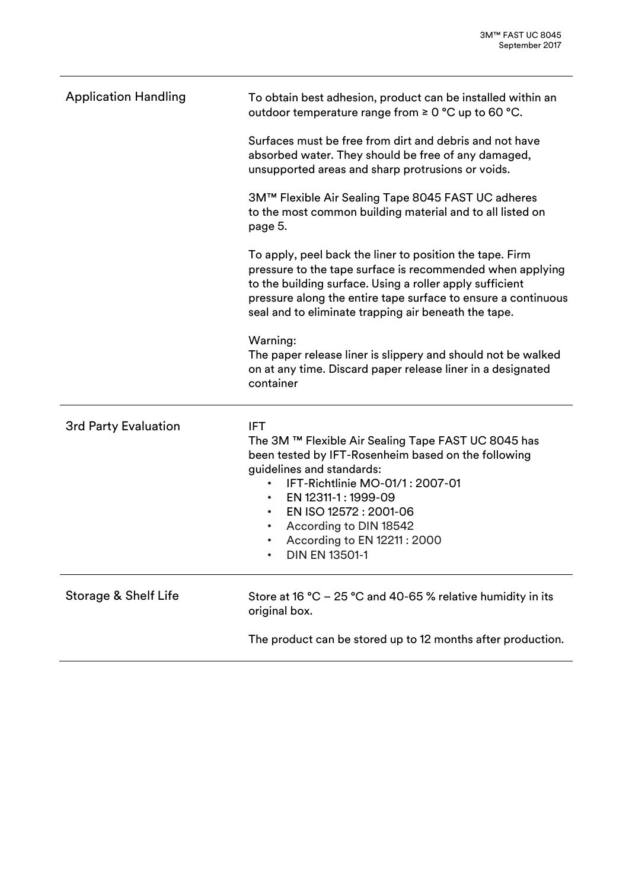| <b>Application Handling</b> | To obtain best adhesion, product can be installed within an<br>outdoor temperature range from ≥ 0 °C up to 60 °C.                                                                                                                                                                                                                                                                            |
|-----------------------------|----------------------------------------------------------------------------------------------------------------------------------------------------------------------------------------------------------------------------------------------------------------------------------------------------------------------------------------------------------------------------------------------|
|                             | Surfaces must be free from dirt and debris and not have<br>absorbed water. They should be free of any damaged,<br>unsupported areas and sharp protrusions or voids.                                                                                                                                                                                                                          |
|                             | 3M™ Flexible Air Sealing Tape 8045 FAST UC adheres<br>to the most common building material and to all listed on<br>page 5.                                                                                                                                                                                                                                                                   |
|                             | To apply, peel back the liner to position the tape. Firm<br>pressure to the tape surface is recommended when applying<br>to the building surface. Using a roller apply sufficient<br>pressure along the entire tape surface to ensure a continuous<br>seal and to eliminate trapping air beneath the tape.                                                                                   |
|                             | Warning:<br>The paper release liner is slippery and should not be walked<br>on at any time. Discard paper release liner in a designated<br>container                                                                                                                                                                                                                                         |
| <b>3rd Party Evaluation</b> | <b>IFT</b><br>The 3M ™ Flexible Air Sealing Tape FAST UC 8045 has<br>been tested by IFT-Rosenheim based on the following<br>guidelines and standards:<br>IFT-Richtlinie MO-01/1: 2007-01<br>$\bullet$<br>EN 12311-1: 1999-09<br>$\bullet$<br>EN ISO 12572: 2001-06<br>$\bullet$<br>According to DIN 18542<br>$\bullet$<br>According to EN 12211 : 2000<br><b>DIN EN 13501-1</b><br>$\bullet$ |
| Storage & Shelf Life        | Store at 16 °C – 25 °C and 40-65 % relative humidity in its<br>original box.                                                                                                                                                                                                                                                                                                                 |
|                             | The product can be stored up to 12 months after production.                                                                                                                                                                                                                                                                                                                                  |